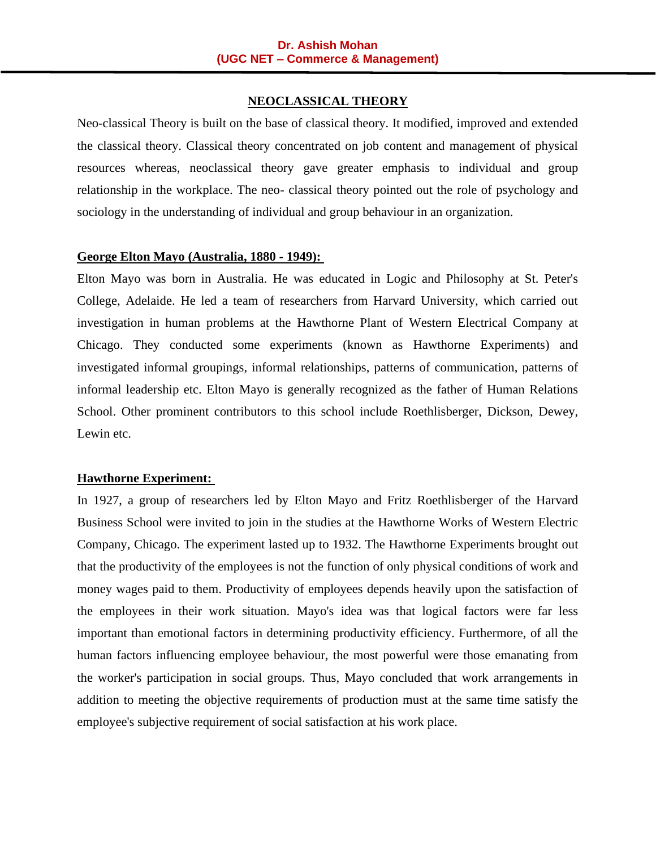### **NEOCLASSICAL THEORY**

Neo-classical Theory is built on the base of classical theory. It modified, improved and extended the classical theory. Classical theory concentrated on job content and management of physical resources whereas, neoclassical theory gave greater emphasis to individual and group relationship in the workplace. The neo- classical theory pointed out the role of psychology and sociology in the understanding of individual and group behaviour in an organization.

### **George Elton Mayo (Australia, 1880 - 1949):**

Elton Mayo was born in Australia. He was educated in Logic and Philosophy at St. Peter's College, Adelaide. He led a team of researchers from Harvard University, which carried out investigation in human problems at the Hawthorne Plant of Western Electrical Company at Chicago. They conducted some experiments (known as Hawthorne Experiments) and investigated informal groupings, informal relationships, patterns of communication, patterns of informal leadership etc. Elton Mayo is generally recognized as the father of Human Relations School. Other prominent contributors to this school include Roethlisberger, Dickson, Dewey, Lewin etc.

### **Hawthorne Experiment:**

In 1927, a group of researchers led by Elton Mayo and Fritz Roethlisberger of the Harvard Business School were invited to join in the studies at the Hawthorne Works of Western Electric Company, Chicago. The experiment lasted up to 1932. The Hawthorne Experiments brought out that the productivity of the employees is not the function of only physical conditions of work and money wages paid to them. Productivity of employees depends heavily upon the satisfaction of the employees in their work situation. Mayo's idea was that logical factors were far less important than emotional factors in determining productivity efficiency. Furthermore, of all the human factors influencing employee behaviour, the most powerful were those emanating from the worker's participation in social groups. Thus, Mayo concluded that work arrangements in addition to meeting the objective requirements of production must at the same time satisfy the employee's subjective requirement of social satisfaction at his work place.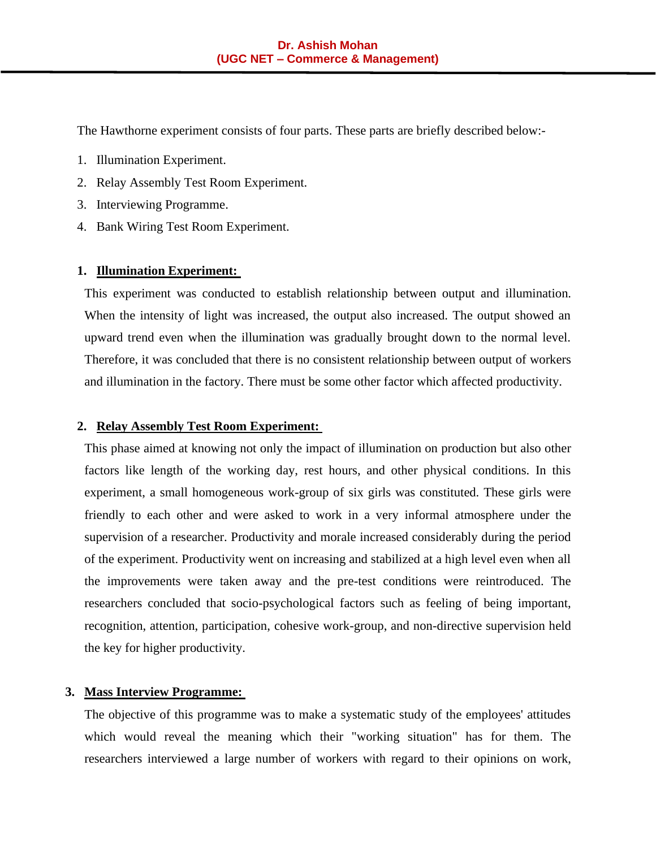The Hawthorne experiment consists of four parts. These parts are briefly described below:-

- 1. Illumination Experiment.
- 2. Relay Assembly Test Room Experiment.
- 3. Interviewing Programme.
- 4. Bank Wiring Test Room Experiment.

#### **1. Illumination Experiment:**

This experiment was conducted to establish relationship between output and illumination. When the intensity of light was increased, the output also increased. The output showed an upward trend even when the illumination was gradually brought down to the normal level. Therefore, it was concluded that there is no consistent relationship between output of workers and illumination in the factory. There must be some other factor which affected productivity.

#### **2. Relay Assembly Test Room Experiment:**

This phase aimed at knowing not only the impact of illumination on production but also other factors like length of the working day, rest hours, and other physical conditions. In this experiment, a small homogeneous work-group of six girls was constituted. These girls were friendly to each other and were asked to work in a very informal atmosphere under the supervision of a researcher. Productivity and morale increased considerably during the period of the experiment. Productivity went on increasing and stabilized at a high level even when all the improvements were taken away and the pre-test conditions were reintroduced. The researchers concluded that socio-psychological factors such as feeling of being important, recognition, attention, participation, cohesive work-group, and non-directive supervision held the key for higher productivity.

#### **3. Mass Interview Programme:**

The objective of this programme was to make a systematic study of the employees' attitudes which would reveal the meaning which their "working situation" has for them. The researchers interviewed a large number of workers with regard to their opinions on work,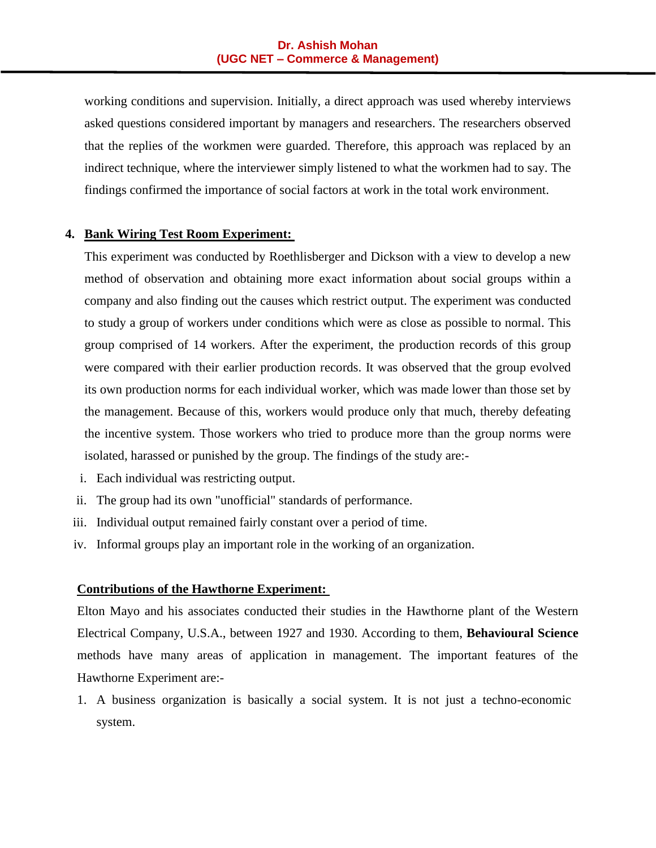working conditions and supervision. Initially, a direct approach was used whereby interviews asked questions considered important by managers and researchers. The researchers observed that the replies of the workmen were guarded. Therefore, this approach was replaced by an indirect technique, where the interviewer simply listened to what the workmen had to say. The findings confirmed the importance of social factors at work in the total work environment.

#### **4. Bank Wiring Test Room Experiment:**

This experiment was conducted by Roethlisberger and Dickson with a view to develop a new method of observation and obtaining more exact information about social groups within a company and also finding out the causes which restrict output. The experiment was conducted to study a group of workers under conditions which were as close as possible to normal. This group comprised of 14 workers. After the experiment, the production records of this group were compared with their earlier production records. It was observed that the group evolved its own production norms for each individual worker, which was made lower than those set by the management. Because of this, workers would produce only that much, thereby defeating the incentive system. Those workers who tried to produce more than the group norms were isolated, harassed or punished by the group. The findings of the study are:-

- i. Each individual was restricting output.
- ii. The group had its own "unofficial" standards of performance.
- iii. Individual output remained fairly constant over a period of time.
- iv. Informal groups play an important role in the working of an organization.

#### **Contributions of the Hawthorne Experiment:**

Elton Mayo and his associates conducted their studies in the Hawthorne plant of the Western Electrical Company, U.S.A., between 1927 and 1930. According to them, **Behavioural Science** methods have many areas of application in management. The important features of the Hawthorne Experiment are:-

1. A business organization is basically a social system. It is not just a techno-economic system.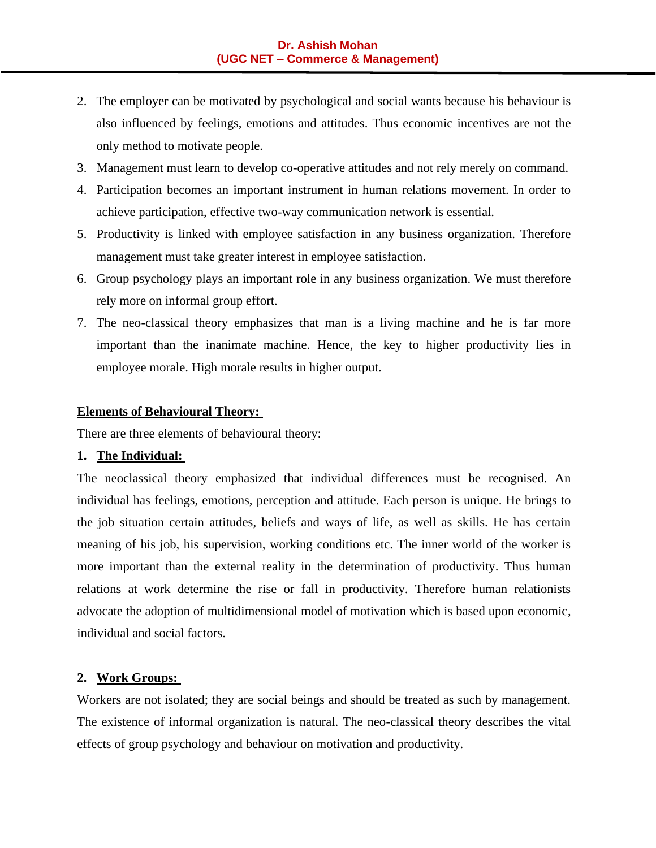- 2. The employer can be motivated by psychological and social wants because his behaviour is also influenced by feelings, emotions and attitudes. Thus economic incentives are not the only method to motivate people.
- 3. Management must learn to develop co-operative attitudes and not rely merely on command.
- 4. Participation becomes an important instrument in human relations movement. In order to achieve participation, effective two-way communication network is essential.
- 5. Productivity is linked with employee satisfaction in any business organization. Therefore management must take greater interest in employee satisfaction.
- 6. Group psychology plays an important role in any business organization. We must therefore rely more on informal group effort.
- 7. The neo-classical theory emphasizes that man is a living machine and he is far more important than the inanimate machine. Hence, the key to higher productivity lies in employee morale. High morale results in higher output.

### **Elements of Behavioural Theory:**

There are three elements of behavioural theory:

## **1. The Individual:**

The neoclassical theory emphasized that individual differences must be recognised. An individual has feelings, emotions, perception and attitude. Each person is unique. He brings to the job situation certain attitudes, beliefs and ways of life, as well as skills. He has certain meaning of his job, his supervision, working conditions etc. The inner world of the worker is more important than the external reality in the determination of productivity. Thus human relations at work determine the rise or fall in productivity. Therefore human relationists advocate the adoption of multidimensional model of motivation which is based upon economic, individual and social factors.

## **2. Work Groups:**

Workers are not isolated; they are social beings and should be treated as such by management. The existence of informal organization is natural. The neo-classical theory describes the vital effects of group psychology and behaviour on motivation and productivity.